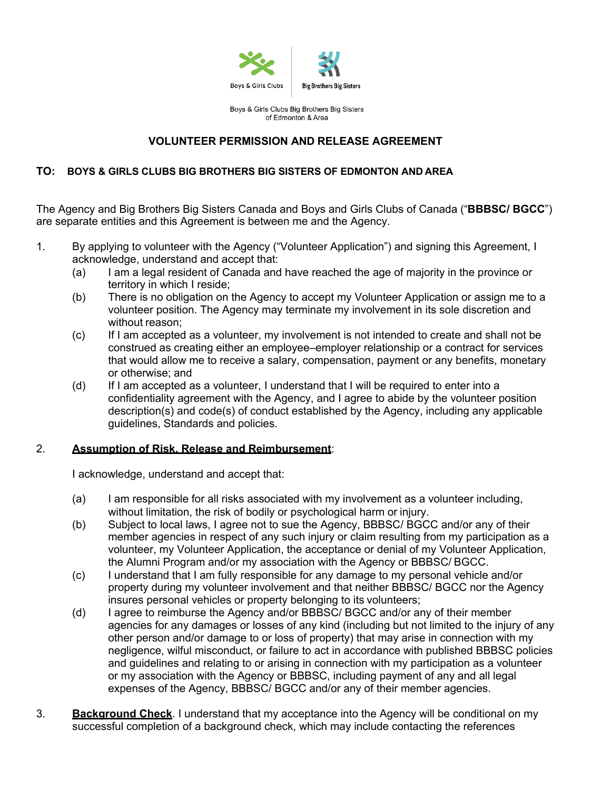

Boys & Girls Clubs Big Brothers Big Sisters of Edmonton & Area

## **VOLUNTEER PERMISSION AND RELEASE AGREEMENT**

## **TO: BOYS & GIRLS CLUBS BIG BROTHERS BIG SISTERS OF EDMONTON AND AREA**

The Agency and Big Brothers Big Sisters Canada and Boys and Girls Clubs of Canada ("**BBBSC/ BGCC**") are separate entities and this Agreement is between me and the Agency.

- 1. By applying to volunteer with the Agency ("Volunteer Application") and signing this Agreement, I acknowledge, understand and accept that:
	- (a) I am a legal resident of Canada and have reached the age of majority in the province or territory in which I reside;
	- (b) There is no obligation on the Agency to accept my Volunteer Application or assign me to a volunteer position. The Agency may terminate my involvement in its sole discretion and without reason;
	- (c) If I am accepted as a volunteer, my involvement is not intended to create and shall not be construed as creating either an employee–employer relationship or a contract for services that would allow me to receive a salary, compensation, payment or any benefits, monetary or otherwise; and
	- (d) If I am accepted as a volunteer, I understand that I will be required to enter into a confidentiality agreement with the Agency, and I agree to abide by the volunteer position description(s) and code(s) of conduct established by the Agency, including any applicable guidelines, Standards and policies.

## 2. **Assumption of Risk, Release and Reimbursement**:

I acknowledge, understand and accept that:

- (a) I am responsible for all risks associated with my involvement as a volunteer including, without limitation, the risk of bodily or psychological harm or injury.
- (b) Subject to local laws, I agree not to sue the Agency, BBBSC/ BGCC and/or any of their member agencies in respect of any such injury or claim resulting from my participation as a volunteer, my Volunteer Application, the acceptance or denial of my Volunteer Application, the Alumni Program and/or my association with the Agency or BBBSC/ BGCC.
- (c) I understand that I am fully responsible for any damage to my personal vehicle and/or property during my volunteer involvement and that neither BBBSC/ BGCC nor the Agency insures personal vehicles or property belonging to its volunteers;
- (d) I agree to reimburse the Agency and/or BBBSC/ BGCC and/or any of their member agencies for any damages or losses of any kind (including but not limited to the injury of any other person and/or damage to or loss of property) that may arise in connection with my negligence, wilful misconduct, or failure to act in accordance with published BBBSC policies and guidelines and relating to or arising in connection with my participation as a volunteer or my association with the Agency or BBBSC, including payment of any and all legal expenses of the Agency, BBBSC/ BGCC and/or any of their member agencies.
- 3. **Background Check**. I understand that my acceptance into the Agency will be conditional on my successful completion of a background check, which may include contacting the references